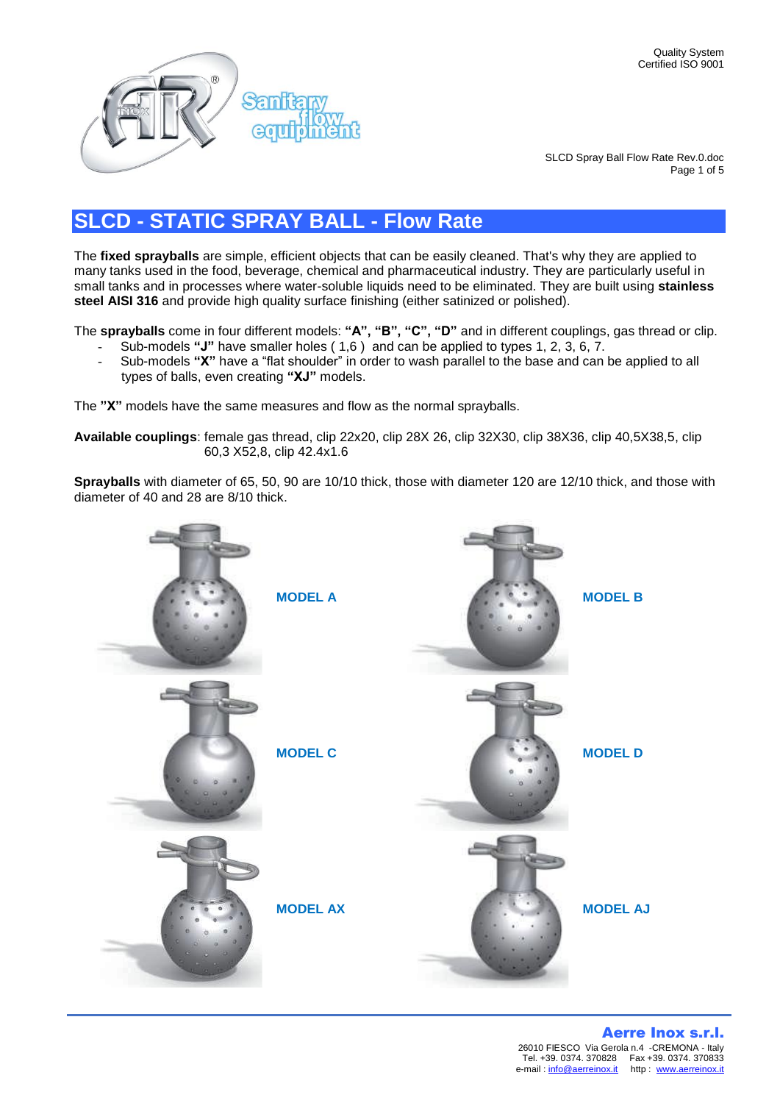

SLCD Spray Ball Flow Rate Rev.0.doc Page 1 of 5

# **SLCD - STATIC SPRAY BALL - Flow Rate**

The **fixed sprayballs** are simple, efficient objects that can be easily cleaned. That's why they are applied to many tanks used in the food, beverage, chemical and pharmaceutical industry. They are particularly useful in small tanks and in processes where water-soluble liquids need to be eliminated. They are built using **stainless steel AISI 316** and provide high quality surface finishing (either satinized or polished).

The **sprayballs** come in four different models: **"A", "B", "C", "D"** and in different couplings, gas thread or clip.

- Sub-models "J" have smaller holes (1,6) and can be applied to types 1, 2, 3, 6, 7.
- Sub-models "X" have a "flat shoulder" in order to wash parallel to the base and can be applied to all types of balls, even creating **"XJ"** models.

The **"X"** models have the same measures and flow as the normal sprayballs.

**Available couplings**: female gas thread, clip 22x20, clip 28X 26, clip 32X30, clip 38X36, clip 40,5X38,5, clip 60,3 X52,8, clip 42.4x1.6

**Sprayballs** with diameter of 65, 50, 90 are 10/10 thick, those with diameter 120 are 12/10 thick, and those with diameter of 40 and 28 are 8/10 thick.

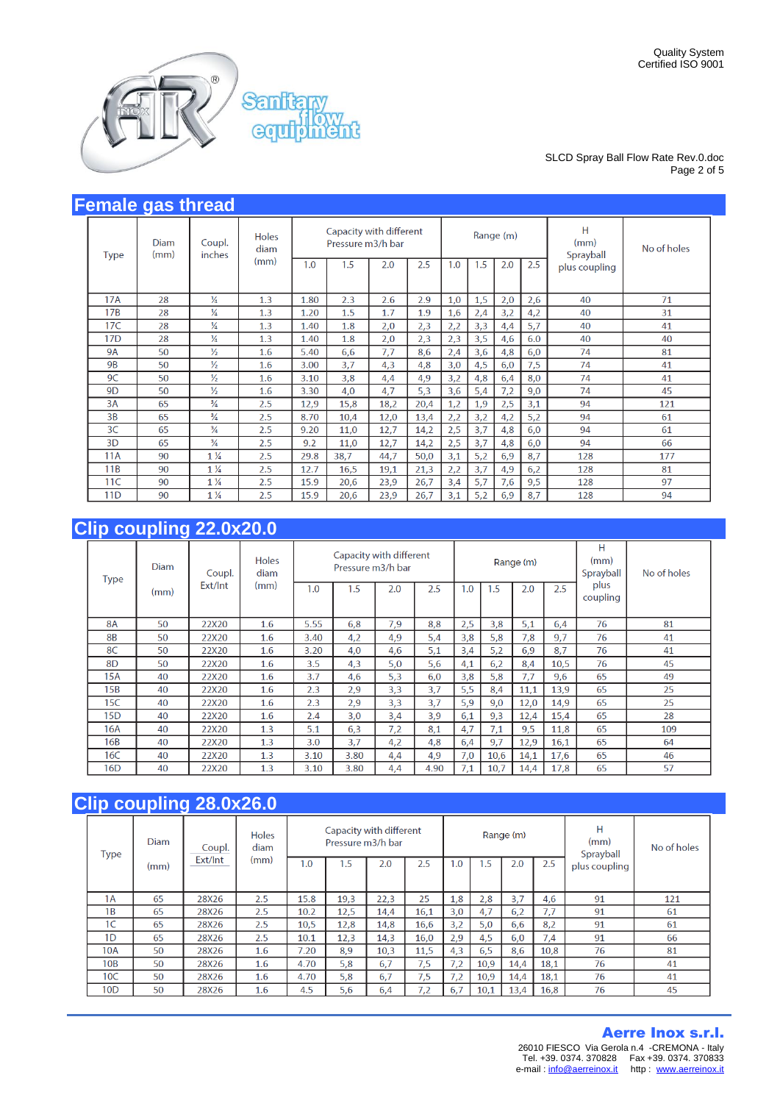

|                 | mano yao umbad      |                  |               |      |                                              |      |      |     |     |           |         |                        |             |
|-----------------|---------------------|------------------|---------------|------|----------------------------------------------|------|------|-----|-----|-----------|---------|------------------------|-------------|
| <b>Type</b>     | <b>Diam</b><br>(mm) | Coupl.<br>inches | Holes<br>diam |      | Capacity with different<br>Pressure m3/h bar |      |      |     |     | Range (m) |         | н<br>(mm)<br>Sprayball | No of holes |
|                 |                     |                  | (mm)          | 1.0  | 1.5                                          | 2.0  | 2.5  | 1.0 | 1.5 | 2.0       | $2.5\,$ | plus coupling          |             |
| 17A             | 28                  | $\frac{1}{4}$    | 1.3           | 1.80 | 2.3                                          | 2.6  | 2.9  | 1,0 | 1,5 | 2,0       | 2,6     | 40                     | 71          |
| 17B             | 28                  | $\frac{1}{4}$    | 1.3           | 1.20 | 1.5                                          | 1.7  | 1.9  | 1,6 | 2,4 | 3,2       | 4,2     | 40                     | 31          |
| 17C             | 28                  | ¼                | 1.3           | 1.40 | 1.8                                          | 2,0  | 2,3  | 2,2 | 3,3 | 4,4       | 5,7     | 40                     | 41          |
| 17 <sub>D</sub> | 28                  | $\frac{1}{4}$    | 1.3           | 1.40 | 1.8                                          | 2,0  | 2,3  | 2,3 | 3,5 | 4,6       | 6.0     | 40                     | 40          |
| <b>9A</b>       | 50                  | $\frac{1}{2}$    | 1.6           | 5.40 | 6,6                                          | 7.7  | 8,6  | 2,4 | 3,6 | 4,8       | 6,0     | 74                     | 81          |
| <b>9B</b>       | 50                  | $\frac{1}{2}$    | 1.6           | 3.00 | 3,7                                          | 4,3  | 4,8  | 3,0 | 4,5 | 6,0       | 7,5     | 74                     | 41          |
| 9C              | 50                  | $\frac{1}{2}$    | 1.6           | 3.10 | 3,8                                          | 4,4  | 4,9  | 3,2 | 4,8 | 6,4       | 8.0     | 74                     | 41          |
| 9 <sub>D</sub>  | 50                  | $\frac{1}{2}$    | 1.6           | 3.30 | 4,0                                          | 4,7  | 5,3  | 3,6 | 5,4 | 7,2       | 9,0     | 74                     | 45          |
| 3A              | 65                  | $\frac{3}{4}$    | 2.5           | 12,9 | 15,8                                         | 18,2 | 20,4 | 1,2 | 1,9 | 2,5       | 3,1     | 94                     | 121         |
| 3B              | 65                  | $\frac{3}{4}$    | 2.5           | 8.70 | 10,4                                         | 12,0 | 13,4 | 2,2 | 3,2 | 4,2       | 5,2     | 94                     | 61          |
| 3C              | 65                  | $\frac{3}{4}$    | 2.5           | 9.20 | 11,0                                         | 12,7 | 14,2 | 2,5 | 3,7 | 4,8       | 6,0     | 94                     | 61          |
| 3D              | 65                  | $\frac{3}{4}$    | 2.5           | 9.2  | 11,0                                         | 12,7 | 14,2 | 2,5 | 3,7 | 4,8       | 6,0     | 94                     | 66          |
| <b>11A</b>      | 90                  | $1\frac{1}{4}$   | 2.5           | 29.8 | 38,7                                         | 44,7 | 50,0 | 3,1 | 5,2 | 6,9       | 8,7     | 128                    | 177         |
| 11B             | 90                  | $1\frac{1}{4}$   | 2.5           | 12.7 | 16,5                                         | 19,1 | 21,3 | 2,2 | 3,7 | 4,9       | 6,2     | 128                    | 81          |
| 11C             | 90                  | $1\frac{1}{4}$   | 2.5           | 15.9 | 20,6                                         | 23,9 | 26,7 | 3,4 | 5,7 | 7,6       | 9,5     | 128                    | 97          |
| 11 <sub>D</sub> | 90                  | $1\frac{1}{4}$   | 2.5           | 15.9 | 20.6                                         | 23.9 | 26.7 | 3.1 | 5.2 | 6.9       | 8.7     | 128                    | 94          |

# **Clip coupling 22.0x20.0**

| <b>Type</b> | Diam | Coupl.  | <b>Holes</b><br>diam |      | Capacity with different<br>Pressure m3/h bar |     |      |     |      | Range (m) |      | н<br>(mm)<br>Sprayball | No of holes |
|-------------|------|---------|----------------------|------|----------------------------------------------|-----|------|-----|------|-----------|------|------------------------|-------------|
|             | (mm) | Ext/Int | (mm)                 | 1.0  | 1.5                                          | 2.0 | 2.5  | 1.0 | 1.5  | 2.0       | 2.5  | plus<br>coupling       |             |
| <b>8A</b>   | 50   | 22X20   | 1.6                  | 5.55 | 6,8                                          | 7,9 | 8,8  | 2,5 | 3,8  | 5,1       | 6,4  | 76                     | 81          |
| <b>8B</b>   | 50   | 22X20   | 1.6                  | 3.40 | 4,2                                          | 4,9 | 5,4  | 3,8 | 5,8  | 7,8       | 9,7  | 76                     | 41          |
| 8C          | 50   | 22X20   | 1.6                  | 3.20 | 4,0                                          | 4,6 | 5,1  | 3,4 | 5,2  | 6,9       | 8,7  | 76                     | 41          |
| 8D          | 50   | 22X20   | 1.6                  | 3.5  | 4,3                                          | 5,0 | 5,6  | 4.1 | 6.2  | 8,4       | 10.5 | 76                     | 45          |
| 15A         | 40   | 22X20   | 1.6                  | 3.7  | 4,6                                          | 5,3 | 6,0  | 3,8 | 5,8  | 7.7       | 9,6  | 65                     | 49          |
| 15B         | 40   | 22X20   | 1.6                  | 2.3  | 2,9                                          | 3,3 | 3,7  | 5,5 | 8,4  | 11,1      | 13,9 | 65                     | 25          |
| 15C         | 40   | 22X20   | 1.6                  | 2.3  | 2,9                                          | 3,3 | 3.7  | 5,9 | 9,0  | 12,0      | 14,9 | 65                     | 25          |
| 15D         | 40   | 22X20   | 1.6                  | 2.4  | 3,0                                          | 3,4 | 3,9  | 6,1 | 9,3  | 12,4      | 15,4 | 65                     | 28          |
| 16A         | 40   | 22X20   | 1.3                  | 5.1  | 6,3                                          | 7,2 | 8,1  | 4,7 | 7,1  | 9,5       | 11,8 | 65                     | 109         |
| 16B         | 40   | 22X20   | 1.3                  | 3.0  | 3,7                                          | 4,2 | 4,8  | 6,4 | 9,7  | 12,9      | 16,1 | 65                     | 64          |
| 16C         | 40   | 22X20   | 1.3                  | 3.10 | 3.80                                         | 4,4 | 4,9  | 7,0 | 10.6 | 14,1      | 17,6 | 65                     | 46          |
| 16D         | 40   | 22X20   | 1.3                  | 3.10 | 3.80                                         | 4,4 | 4.90 | 7,1 | 10,7 | 14,4      | 17,8 | 65                     | 57          |

# **Clip coupling 28.0x26.0**

| <b>Type</b>    | <b>Diam</b> | Coupl.  | <b>Holes</b><br>diam |      | Capacity with different<br>Pressure m3/h bar |      |      |     |      | Range (m) |      | н<br>(mm)<br>Sprayball | No of holes |
|----------------|-------------|---------|----------------------|------|----------------------------------------------|------|------|-----|------|-----------|------|------------------------|-------------|
|                | (mm)        | Ext/Int | (mm)                 | 1.0  | 5،                                           | 2.0  | 2.5  | 0.1 | 1.5  | 2.0       | 2.5  | plus coupling          |             |
| 1 A            | 65          | 28X26   | 2.5                  | 15.8 | 19,3                                         | 22,3 | 25   | 1,8 | 2,8  | 3.7       | 4,6  | 91                     | 121         |
| 1B             | 65          | 28X26   | 2.5                  | 10.2 | 12.5                                         | 14,4 | 16,1 | 3,0 | 4,7  | 6,2       | 7.7  | 91                     | 61          |
| 1 <sup>C</sup> | 65          | 28X26   | 2.5                  | 10,5 | 12,8                                         | 14,8 | 16,6 | 3,2 | 5,0  | 6.6       | 8,2  | 91                     | 61          |
| 1D             | 65          | 28X26   | 2.5                  | 10.1 | 12,3                                         | 14,3 | 16,0 | 2,9 | 4,5  | 6,0       | 7,4  | 91                     | 66          |
| 10A            | 50          | 28X26   | 1.6                  | 7.20 | 8,9                                          | 10,3 | 11,5 | 4,3 | 6,5  | 8,6       | 10,8 | 76                     | 81          |
| <b>10B</b>     | 50          | 28X26   | 1.6                  | 4.70 | 5,8                                          | 6,7  | 7,5  | 7,2 | 10,9 | 14,4      | 18,1 | 76                     | 41          |
| 10C            | 50          | 28X26   | 1.6                  | 4.70 | 5,8                                          | 6,7  | 7,5  | 7,2 | 10,9 | 14,4      | 18,1 | 76                     | 41          |
| 10D            | 50          | 28X26   | 1.6                  | 4.5  | 5,6                                          | 6,4  | 7,2  | 6,7 | 10,1 | 13,4      | 16,8 | 76                     | 45          |

Page 2 of 5

SLCD Spray Ball Flow Rate Rev.0.doc

#### Aerre Inox s.r.l.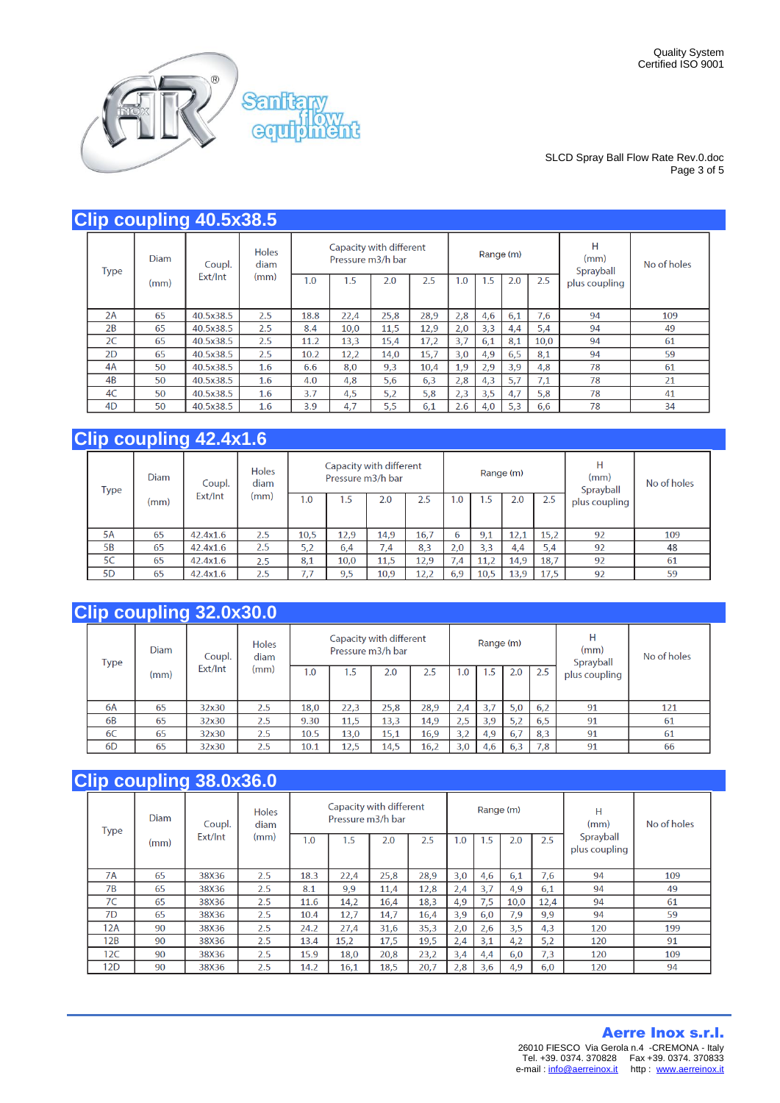

#### SLCD Spray Ball Flow Rate Rev.0.doc Page 3 of 5

|             |             | Clip coupling 40.5x38.5 |                  |      |                                              |      |      |     |           |     |      |                        |             |
|-------------|-------------|-------------------------|------------------|------|----------------------------------------------|------|------|-----|-----------|-----|------|------------------------|-------------|
| <b>Type</b> | <b>Diam</b> | Coupl.                  | Holes<br>diam    |      | Capacity with different<br>Pressure m3/h bar |      |      |     | Range (m) |     |      | Н<br>(mm)<br>Sprayball | No of holes |
|             | (mm)        | Ext/Int                 | (mm)             | 1.0  | 1.5                                          | 2.0  | 2.5  | 1.0 | 1.5       | 2.0 | 2.5  | plus coupling          |             |
| 2A          | 65          | 40.5x38.5               | 2.5              | 18.8 | 22.4                                         | 25,8 | 28,9 | 2,8 | 4,6       | 6,1 | 7,6  | 94                     | 109         |
| 2B          | 65          | 40.5x38.5               | 2.5              | 8.4  | 10,0                                         | 11.5 | 12.9 | 2,0 | 3,3       | 4,4 | 5,4  | 94                     | 49          |
| 2C          | 65          | 40.5x38.5               | 2.5              | 11.2 | 13,3                                         | 15,4 | 17.2 | 3,7 | 6,1       | 8,1 | 10,0 | 94                     | 61          |
| 2D          | 65          | 40.5x38.5               | 2.5              | 10.2 | 12,2                                         | 14,0 | 15,7 | 3,0 | 4,9       | 6,5 | 8,1  | 94                     | 59          |
| 4A          | 50          | 40.5x38.5               | $1.6\phantom{0}$ | 6.6  | 8,0                                          | 9,3  | 10,4 | 1,9 | 2,9       | 3,9 | 4,8  | 78                     | 61          |
| 4B          | 50          | 40.5x38.5               | 1.6              | 4.0  | 4,8                                          | 5,6  | 6,3  | 2,8 | 4,3       | 5,7 | 7,1  | 78                     | 21          |
| AC          | 50          | 40.5x38.5               | 1.6              | 3.7  | 4,5                                          | 5,2  | 5,8  | 2,3 | 3,5       | 4,7 | 5,8  | 78                     | 41          |
| 4D          | 50          | 40.5x38.5               | 1.6              | 3.9  | 4,7                                          | 5,5  | 6,1  | 2.6 | 4,0       | 5,3 | 6,6  | 78                     | 34          |

### **Clip coupling 42.4x1.6**

| <b>Type</b>    | <b>Diam</b> | Coupl.   | <b>Holes</b><br>diam |      | Capacity with different<br>Pressure m3/h bar |      |      |     | Range (m) |      |      | н<br>(mm)<br>Sprayball | No of holes |
|----------------|-------------|----------|----------------------|------|----------------------------------------------|------|------|-----|-----------|------|------|------------------------|-------------|
|                | (mm)        | Ext/Int  | (mm)                 | 0.1  | כ. ו                                         | 2.0  | 2.5  | 1.0 | .5        | 2.0  | 2.5  | plus coupling          |             |
| <b>5A</b>      | 65          | 42.4x1.6 | 2.5                  | 10,5 | 12,9                                         | 14,9 | 16,7 | 6   | 9,1       | 12.1 | 15,2 | 92                     | 109         |
| <b>5B</b>      | 65          | 42.4x1.6 | 2.5                  | 5,2  | 6,4                                          | 7.4  | 8,3  | 2,0 | 3,3       | 4.4  | 5,4  | 92                     | 48          |
| 5C             | 65          | 42.4x1.6 | 2.5                  | 8,1  | 10,0                                         | 11,5 | 12,9 | 7,4 | 11,2      | 14,9 | 18.7 | 92                     | 61          |
| 5 <sub>D</sub> | 65          | 42.4x1.6 | 2.5                  | 7,7  | 9,5                                          | 10,9 | 12,2 | 6,9 | 10,5      | 13,9 | 17,5 | 92                     | 59          |

|                | Clip coupling 32.0x30.0 |         |                      |      |                                              |      |      |     |           |     |     |                        |             |
|----------------|-------------------------|---------|----------------------|------|----------------------------------------------|------|------|-----|-----------|-----|-----|------------------------|-------------|
| <b>Type</b>    | <b>Diam</b>             | Coupl.  | <b>Holes</b><br>diam |      | Capacity with different<br>Pressure m3/h bar |      |      |     | Range (m) |     |     | н<br>(mm)<br>Sprayball | No of holes |
|                | (mm)                    | Ext/Int | (mm)                 | 1.0  | ۱.5                                          | 2.0  | 2.5  | 1.0 | 1.5       | 2.0 | 2.5 | plus coupling          |             |
| 6A             | 65                      | 32x30   | 2.5                  | 18,0 | 22,3                                         | 25,8 | 28,9 | 2,4 | 3,7       | 5,0 | 6,2 | 91                     | 121         |
| 6B             | 65                      | 32x30   | 2.5                  | 9.30 | 11,5                                         | 13,3 | 14,9 | 2.5 | 3,9       | 5,2 | 6,5 | 91                     | 61          |
| 6C             | 65                      | 32x30   | 2.5                  | 10.5 | 13,0                                         | 15,1 | 16,9 | 3,2 | 4,9       | 6.7 | 8.3 | 91                     | 61          |
| 6 <sub>D</sub> | 65                      | 32x30   | 2.5                  | 10.1 | 12,5                                         | 14,5 | 16,2 | 3,0 | 4,6       | 6,3 | 7,8 | 91                     | 66          |

# **Clip coupling 38.0x36.0**

| <b>Type</b>    | <b>Diam</b> | Coupl.  | <b>Holes</b><br>diam |      | Capacity with different<br>Pressure m3/h bar |      |      |     | Range (m) |      |      | н<br>(mm)                  | No of holes |
|----------------|-------------|---------|----------------------|------|----------------------------------------------|------|------|-----|-----------|------|------|----------------------------|-------------|
|                | (mm)        | Ext/Int | (mm)                 | 1.0  | $.5\,$                                       | 2.0  | 2.5  | 1.0 | .5        | 2.0  | 2.5  | Sprayball<br>plus coupling |             |
| 7A             | 65          | 38X36   | 2.5                  | 18.3 | 22,4                                         | 25,8 | 28.9 | 3,0 | 4,6       | 6,1  | 7,6  | 94                         | 109         |
| 7B             | 65          | 38X36   | 2.5                  | 8.1  | 9.9                                          | 11.4 | 12.8 | 2,4 | 3.7       | 4.9  | 6.1  | 94                         | 49          |
| 7C             | 65          | 38X36   | 2.5                  | 11.6 | 14,2                                         | 16.4 | 18.3 | 4,9 | 7.5       | 10.0 | 12.4 | 94                         | 61          |
| 7 <sub>D</sub> | 65          | 38X36   | 2.5                  | 10.4 | 12,7                                         | 14,7 | 16,4 | 3,9 | 6,0       | 7,9  | 9,9  | 94                         | 59          |
| 12A            | 90          | 38X36   | 2.5                  | 24.2 | 27,4                                         | 31,6 | 35,3 | 2,0 | 2,6       | 3,5  | 4,3  | 120                        | 199         |
| 12B            | 90          | 38X36   | 2.5                  | 13.4 | 15,2                                         | 17,5 | 19,5 | 2,4 | 3,1       | 4,2  | 5,2  | 120                        | 91          |
| 12C            | 90          | 38X36   | 2.5                  | 15.9 | 18,0                                         | 20,8 | 23,2 | 3,4 | 4,4       | 6,0  | 7,3  | 120                        | 109         |
| 12D            | 90          | 38X36   | 2.5                  | 14.2 | 16,1                                         | 18,5 | 20,7 | 2,8 | 3,6       | 4,9  | 6,0  | 120                        | 94          |

e-mail : info@aerreinox.it http : www.aerreinox.it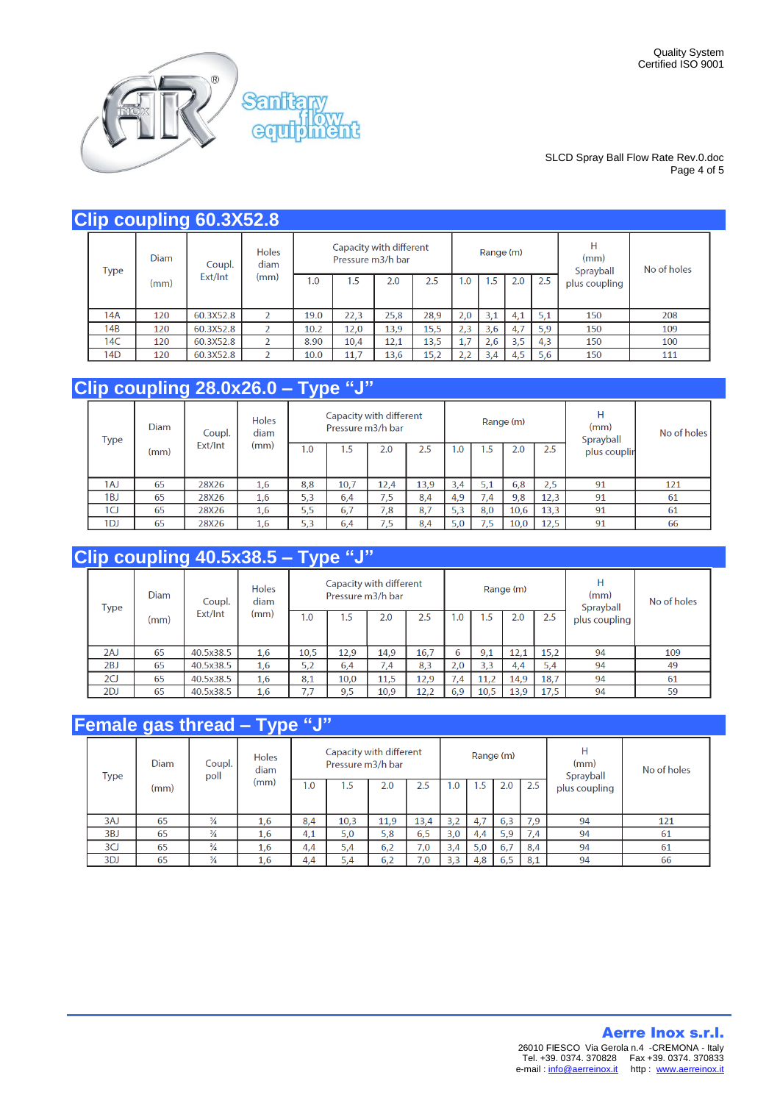

#### SLCD Spray Ball Flow Rate Rev.0.doc Page 4 of 5

|             |             | Clip coupling 60.3X52.8 |                |      |                                              |      |      |     |           |     |     |                        |             |
|-------------|-------------|-------------------------|----------------|------|----------------------------------------------|------|------|-----|-----------|-----|-----|------------------------|-------------|
| <b>Type</b> | <b>Diam</b> | Coupl.                  | Holes<br>diam  |      | Capacity with different<br>Pressure m3/h bar |      |      |     | Range (m) |     |     | н<br>(mm)<br>Sprayball | No of holes |
|             | (mm)        | Ext/Int                 | (mm)           | 1.0  | 1.5                                          | 2.0  | 2.5  | 1.0 | 1.5       | 2.0 | 2.5 | plus coupling          |             |
| 14A         | 120         | 60.3X52.8               |                | 19.0 | 22,3                                         | 25.8 | 28,9 | 2.0 | 3.1       | 4.1 | 5.1 | 150                    | 208         |
| 14B         | 120         | 60.3X52.8               | $\overline{2}$ | 10.2 | 12,0                                         | 13,9 | 15,5 | 2.3 | 3,6       | 4.  | 5.9 | 150                    | 109         |
| 14C         | 120         | 60.3X52.8               | 2              | 8.90 | 10.4                                         | 12,1 | 13,5 | 1,7 | 2,6       | 3,5 | 4,3 | 150                    | 100         |
| 14D         | 120         | 60.3X52.8               | h              | 10.0 | 11,7                                         | 13,6 | 15,2 | 2,2 | 3,4       | 4.5 | 5,6 | 150                    | 111         |

### **Clip coupling 28.0x26.0 – Type "J"**

| <b>Type</b>    | <b>Diam</b> | Coupl.  | Holes<br>diam |     | Capacity with different<br>Pressure m3/h bar |      |      |     |      | Range (m) |      | н<br>(mm)<br>Sprayball | No of holes |
|----------------|-------------|---------|---------------|-----|----------------------------------------------|------|------|-----|------|-----------|------|------------------------|-------------|
|                | (mm)        | Ext/Int | (mm)          | 1.0 | 1.5                                          | 2.0  | 2.5  | 1.0 | כ. ו | 2.0       | 2.5  | plus couplir           |             |
| 1AJ            | 65          | 28X26   | 1,6           | 8,8 | 10,7                                         | 12,4 | 13,9 | 3,4 | 5.1  | 6.8       | 2,5  | 91                     | 121         |
| 1BJ            | 65          | 28X26   | 1,6           | 5,3 | 6,4                                          | 7,5  | 8,4  | 4,9 | 7.4  | 9.8       | 12,3 | 91                     | 61          |
| 1 <sup>C</sup> | 65          | 28X26   | 1,6           | 5,5 | 6,7                                          | 7,8  | 8,7  | 5,3 | 8,0  | 10.6      | 13,3 | 91                     | 61          |
| 1DJ            | 65          | 28X26   | 1,6           | 5,3 | 6,4                                          | 7,5  | 8,4  | 5,0 | 7.5  | 10.0      | 12,5 | 91                     | 66          |

### **Clip coupling 40.5x38.5 – Type "J"**

| <b>Type</b> | <b>Diam</b> | Coupl.    | <b>Holes</b><br>diam | .    | Capacity with different<br>Pressure m3/h bar |      |      |     |      | Range (m) |      | н<br>(mm)<br>Sprayball | No of holes |
|-------------|-------------|-----------|----------------------|------|----------------------------------------------|------|------|-----|------|-----------|------|------------------------|-------------|
|             | (mm)        | Ext/Int   | (mm)                 | 1.0  | 5.،                                          | 2.0  | 2.5  | 1.0 | د. ا | 2.0       | 2.5  | plus coupling          |             |
| 2AJ         | 65          | 40.5x38.5 | 1,6                  | 10,5 | 12,9                                         | 14,9 | 16,7 | 6   | 9,1  | 12,1      | 15,2 | 94                     | 109         |
| 2BJ         | 65          | 40.5x38.5 | 1,6                  | 5,2  | 6,4                                          | 7.4  | 8,3  | 2,0 | 3,3  | 4.4       | 5.4  | 94                     | 49          |
| 2C          | 65          | 40.5x38.5 | 1,6                  | 8,1  | 10,0                                         | 11,5 | 12,9 | 7,4 | 11,2 | 14,9      | 18,7 | 94                     | 61          |
| 2DJ         | 65          | 40.5x38.5 | 1.6                  |      | 9,5                                          | 10.9 | 12,2 | 6.9 | 10.5 | 13.9      | 17.5 | 94                     | 59          |

# **Female gas thread – Type "J"**

| Type            | Diam | Coupl.<br>poll | <b>Holes</b><br>diam |     | Capacity with different<br>Pressure m3/h bar |      |      |     | Range (m) |     |     | (mm)<br>Sprayball | No of holes |
|-----------------|------|----------------|----------------------|-----|----------------------------------------------|------|------|-----|-----------|-----|-----|-------------------|-------------|
|                 | (mm) |                | (mm)                 | 1.0 | ל. ו                                         | 2.0  | 2.5  | 1.0 | .5        | 2.0 | 2.5 | plus coupling     |             |
| 3AJ             | 65   | $\frac{3}{4}$  | 1,6                  | 8,4 | 10,3                                         | 11,9 | 13,4 | 3,2 | 4,7       | 6,3 | 7,9 | 94                | 121         |
| 3BJ             | 65   | $\frac{3}{4}$  | 1,6                  | 4,1 | 5,0                                          | 5,8  | 6,5  | 3,0 | 4,4       | 5,9 | 7,4 | 94                | 61          |
| 3 <sub>CI</sub> | 65   | $\frac{3}{4}$  | 1,6                  | 4,4 | 5,4                                          | 6,2  | 7,0  | 3,4 | 5,0       | 6,7 | 8,4 | 94                | 61          |
| 3DJ             | 65   | $\frac{3}{4}$  | 1,6                  | 4,4 | 5,4                                          | 6,2  | 7,0  | 3,3 | 4,8       | 6,5 | 8,1 | 94                | 66          |